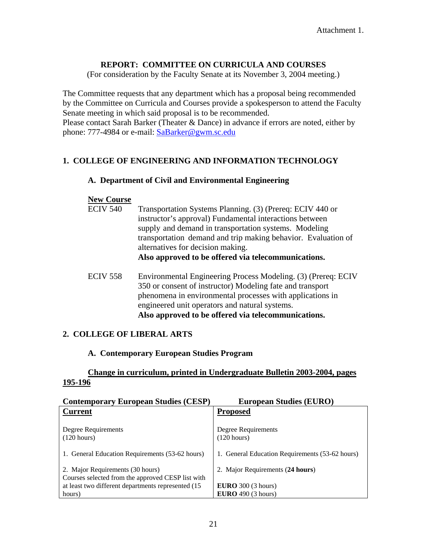## **REPORT: COMMITTEE ON CURRICULA AND COURSES**

(For consideration by the Faculty Senate at its November 3, 2004 meeting.)

The Committee requests that any department which has a proposal being recommended by the Committee on Curricula and Courses provide a spokesperson to attend the Faculty Senate meeting in which said proposal is to be recommended. Please contact Sarah Barker (Theater & Dance) in advance if errors are noted, either by

phone: 777-4984 or e-mail: [SaBarker@gwm.sc.edu](mailto:SaBarker@gwm.sc.edu)

## **1. COLLEGE OF ENGINEERING AND INFORMATION TECHNOLOGY**

### **A. Department of Civil and Environmental Engineering**

#### **New Course**

- ECIV 540 Transportation Systems Planning. (3) (Prereq: ECIV 440 or instructor's approval) Fundamental interactions between supply and demand in transportation systems. Modeling transportation demand and trip making behavior. Evaluation of alternatives for decision making. **Also approved to be offered via telecommunications.**
- ECIV 558 Environmental Engineering Process Modeling. (3) (Prereq: ECIV 350 or consent of instructor) Modeling fate and transport phenomena in environmental processes with applications in engineered unit operators and natural systems. **Also approved to be offered via telecommunications.**

## **2. COLLEGE OF LIBERAL ARTS**

### **A. Contemporary European Studies Program**

## **Change in curriculum, printed in Undergraduate Bulletin 2003-2004, pages 195-196**

| <b>Contemporary European Studies (CESP)</b>         | <b>European Studies (EURO)</b>                  |
|-----------------------------------------------------|-------------------------------------------------|
| <b>Current</b>                                      | <b>Proposed</b>                                 |
|                                                     |                                                 |
| Degree Requirements                                 | Degree Requirements                             |
| (120 hours)                                         | $(120 \text{ hours})$                           |
|                                                     |                                                 |
| 1. General Education Requirements (53-62 hours)     | 1. General Education Requirements (53-62 hours) |
|                                                     |                                                 |
| 2. Major Requirements (30 hours)                    | 2. Major Requirements (24 hours)                |
| Courses selected from the approved CESP list with   |                                                 |
| at least two different departments represented (15) | EURO $300$ (3 hours)                            |
| hours)                                              | EURO $490(3 \text{ hours})$                     |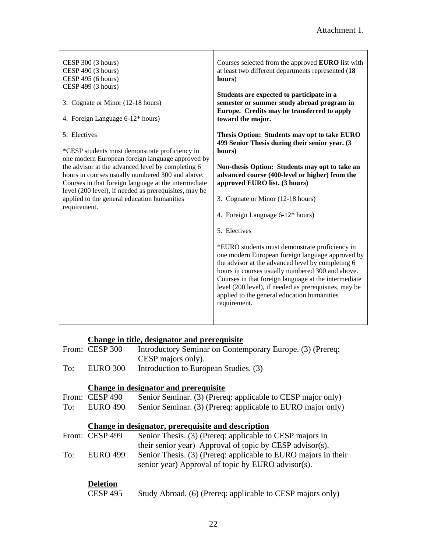| CESP 300 (3 hours)<br>CESP 490 (3 hours)<br>CESP 495 (6 hours)<br>CESP 499 (3 hours)<br>3. Cognate or Minor (12-18 hours)<br>4. Foreign Language 6-12* hours)<br>5. Electives                                                                                                                                                                                                               | Courses selected from the approved EURO list with<br>at least two different departments represented (18<br>hours)<br>Students are expected to participate in a<br>semester or summer study abroad program in<br>Europe. Credits may be transferred to apply<br>toward the major.<br>Thesis Option: Students may opt to take EURO                                                                                                                                                                                                                                                                                                                                                       |
|---------------------------------------------------------------------------------------------------------------------------------------------------------------------------------------------------------------------------------------------------------------------------------------------------------------------------------------------------------------------------------------------|----------------------------------------------------------------------------------------------------------------------------------------------------------------------------------------------------------------------------------------------------------------------------------------------------------------------------------------------------------------------------------------------------------------------------------------------------------------------------------------------------------------------------------------------------------------------------------------------------------------------------------------------------------------------------------------|
| *CESP students must demonstrate proficiency in<br>one modern European foreign language approved by<br>the advisor at the advanced level by completing 6<br>hours in courses usually numbered 300 and above.<br>Courses in that foreign language at the intermediate<br>level (200 level), if needed as prerequisites, may be<br>applied to the general education humanities<br>requirement. | 499 Senior Thesis during their senior year. (3)<br>hours)<br>Non-thesis Option: Students may opt to take an<br>advanced course (400-level or higher) from the<br>approved EURO list. (3 hours)<br>3. Cognate or Minor (12-18 hours)<br>4. Foreign Language 6-12* hours)<br>5. Electives<br>*EURO students must demonstrate proficiency in<br>one modern European foreign language approved by<br>the advisor at the advanced level by completing 6<br>hours in courses usually numbered 300 and above.<br>Courses in that foreign language at the intermediate<br>level (200 level), if needed as prerequisites, may be<br>applied to the general education humanities<br>requirement. |

# **Change in title, designator and prerequisite**

|     | From: CESP 300 | Introductory Seminar on Contemporary Europe. (3) (Prereq: |
|-----|----------------|-----------------------------------------------------------|
|     |                | CESP majors only).                                        |
| To: | EURO 300       | Introduction to European Studies. (3)                     |

# **Change in designator and prerequisite**

|     | From: CESP 490  | Senior Seminar. (3) (Prereq: applicable to CESP major only)    |
|-----|-----------------|----------------------------------------------------------------|
| To: | <b>EURO 490</b> | Senior Seminar. (3) (Prereq: applicable to EURO major only)    |
|     |                 |                                                                |
|     |                 | Change in designator, prerequisite and description             |
|     | From: CESP 499  | Senior Thesis. (3) (Prereq: applicable to CESP majors in       |
|     |                 | their senior year) Approval of topic by CESP advisor(s).       |
| To: | <b>EURO</b> 499 | Senior Thesis. (3) (Prereq: applicable to EURO majors in their |
|     |                 | senior year) Approval of topic by EURO advisor(s).             |
|     |                 |                                                                |
|     | Deletion        |                                                                |

| CESP 495 |  |  |  | Study Abroad. (6) (Prereq: applicable to CESP majors only) |
|----------|--|--|--|------------------------------------------------------------|
|----------|--|--|--|------------------------------------------------------------|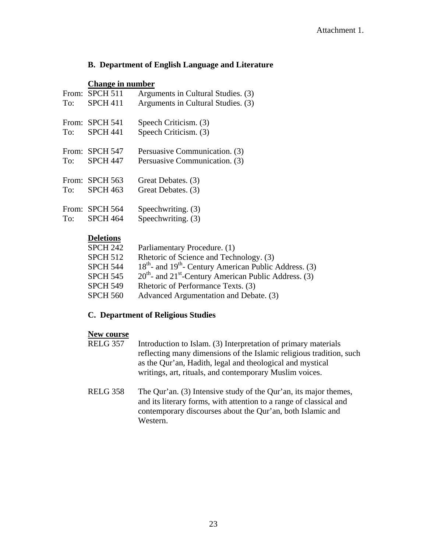## **B. Department of English Language and Literature**

#### **Change in number**

| To: | From: SPCH 511<br><b>SPCH 411</b> | Arguments in Cultural Studies. (3)<br>Arguments in Cultural Studies. (3) |
|-----|-----------------------------------|--------------------------------------------------------------------------|
| To: | From: SPCH 541<br><b>SPCH 441</b> | Speech Criticism. (3)<br>Speech Criticism. (3)                           |
| To: | From: SPCH 547<br><b>SPCH 447</b> | Persuasive Communication. (3)<br>Persuasive Communication. (3)           |
| To: | From: SPCH 563<br><b>SPCH 463</b> | Great Debates. (3)<br>Great Debates. (3)                                 |
| To: | From: SPCH 564<br>SPCH 464        | Speechwriting. (3)<br>Speechwriting. (3)                                 |

## **Deletions**

| <b>SPCH 242</b> | Parliamentary Procedure. (1)                                     |
|-----------------|------------------------------------------------------------------|
| <b>SPCH 512</b> | Rhetoric of Science and Technology. (3)                          |
| <b>SPCH 544</b> | $18^{th}$ - and $19^{th}$ - Century American Public Address. (3) |
| <b>SPCH 545</b> | $20th$ - and $21st$ -Century American Public Address. (3)        |
| <b>SPCH 549</b> | Rhetoric of Performance Texts. (3)                               |
| <b>SPCH 560</b> | Advanced Argumentation and Debate. (3)                           |
|                 |                                                                  |

### **C. Department of Religious Studies**

#### **New course**

- RELG 357 Introduction to Islam. (3) Interpretation of primary materials reflecting many dimensions of the Islamic religious tradition, such as the Qur'an, Hadith, legal and theological and mystical writings, art, rituals, and contemporary Muslim voices.
- RELG 358 The Qur'an. (3) Intensive study of the Qur'an, its major themes, and its literary forms, with attention to a range of classical and contemporary discourses about the Qur'an, both Islamic and Western.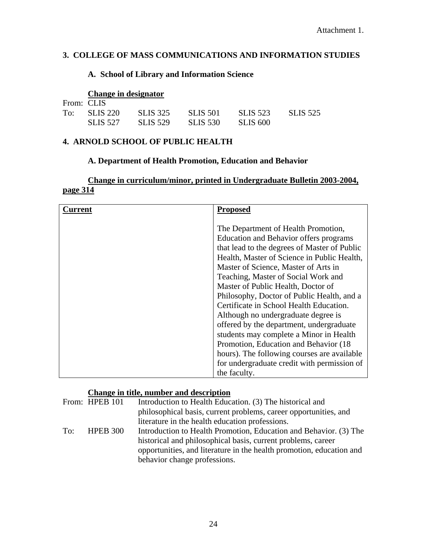## **3. COLLEGE OF MASS COMMUNICATIONS AND INFORMATION STUDIES**

## **A. School of Library and Information Science**

# **Change in designator**

| From: CLIS |                |                 |                 |                 |                 |
|------------|----------------|-----------------|-----------------|-----------------|-----------------|
|            | $To:$ SLIS 220 | SLIS 325        | <b>SLIS 501</b> | <b>SLIS 523</b> | <b>SLIS 525</b> |
|            | SLIS 527       | <b>SLIS 529</b> | <b>SLIS 530</b> | SLIS 600        |                 |

## **4. ARNOLD SCHOOL OF PUBLIC HEALTH**

## **A. Department of Health Promotion, Education and Behavior**

# **Change in curriculum/minor, printed in Undergraduate Bulletin 2003-2004, page 314**

| \urrent | <b>Proposed</b>                              |
|---------|----------------------------------------------|
|         |                                              |
|         | The Department of Health Promotion,          |
|         | Education and Behavior offers programs       |
|         | that lead to the degrees of Master of Public |
|         | Health, Master of Science in Public Health,  |
|         | Master of Science, Master of Arts in         |
|         | Teaching, Master of Social Work and          |
|         | Master of Public Health, Doctor of           |
|         | Philosophy, Doctor of Public Health, and a   |
|         | Certificate in School Health Education.      |
|         | Although no undergraduate degree is          |
|         | offered by the department, undergraduate     |
|         | students may complete a Minor in Health      |
|         | Promotion, Education and Behavior (18)       |
|         | hours). The following courses are available  |
|         | for undergraduate credit with permission of  |
|         | the faculty.                                 |

## **Change in title, number and description**

|     | From: HPEB 101 | Introduction to Health Education. (3) The historical and             |
|-----|----------------|----------------------------------------------------------------------|
|     |                | philosophical basis, current problems, career opportunities, and     |
|     |                | literature in the health education professions.                      |
| To: | HPEB 300       | Introduction to Health Promotion, Education and Behavior. (3) The    |
|     |                | historical and philosophical basis, current problems, career         |
|     |                | opportunities, and literature in the health promotion, education and |
|     |                | behavior change professions.                                         |